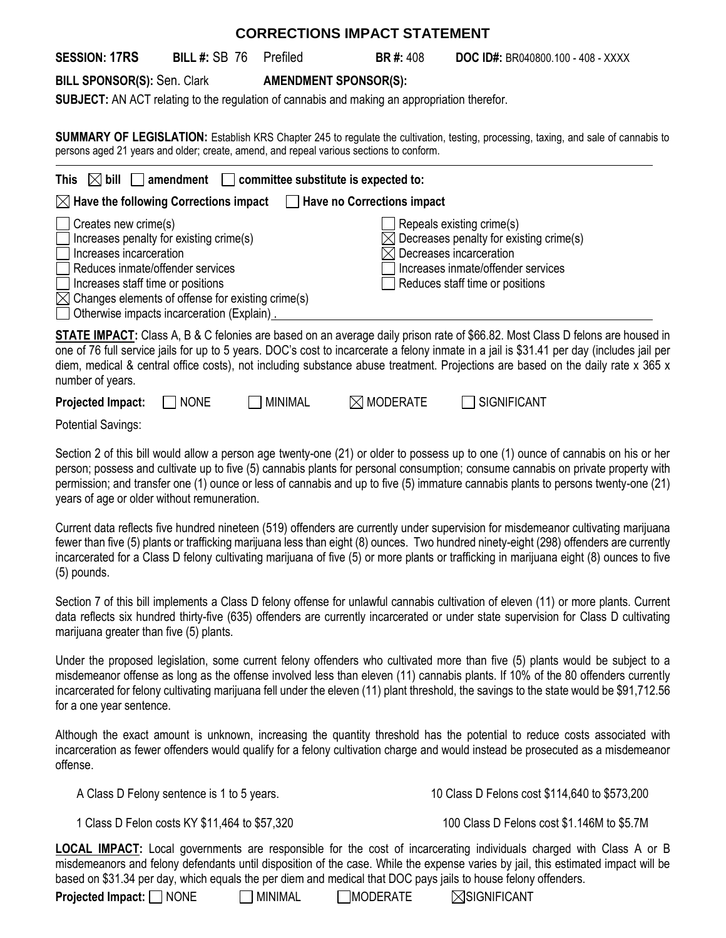| <b>CORRECTIONS IMPACT STATEMENT</b>                                                                                                                                                                                            |                                                                                       |                              |                      |                                                                                                                                                                                                                                                                                                                                                                                                               |  |  |
|--------------------------------------------------------------------------------------------------------------------------------------------------------------------------------------------------------------------------------|---------------------------------------------------------------------------------------|------------------------------|----------------------|---------------------------------------------------------------------------------------------------------------------------------------------------------------------------------------------------------------------------------------------------------------------------------------------------------------------------------------------------------------------------------------------------------------|--|--|
| <b>SESSION: 17RS</b>                                                                                                                                                                                                           | <b>BILL #: SB 76</b>                                                                  | Prefiled                     | <b>BR#: 408</b>      | <b>DOC ID#: BR040800.100 - 408 - XXXX</b>                                                                                                                                                                                                                                                                                                                                                                     |  |  |
| <b>BILL SPONSOR(S): Sen. Clark</b>                                                                                                                                                                                             |                                                                                       | <b>AMENDMENT SPONSOR(S):</b> |                      |                                                                                                                                                                                                                                                                                                                                                                                                               |  |  |
| <b>SUBJECT:</b> AN ACT relating to the regulation of cannabis and making an appropriation therefor.                                                                                                                            |                                                                                       |                              |                      |                                                                                                                                                                                                                                                                                                                                                                                                               |  |  |
| SUMMARY OF LEGISLATION: Establish KRS Chapter 245 to regulate the cultivation, testing, processing, taxing, and sale of cannabis to<br>persons aged 21 years and older; create, amend, and repeal various sections to conform. |                                                                                       |                              |                      |                                                                                                                                                                                                                                                                                                                                                                                                               |  |  |
| amendment $\Box$ committee substitute is expected to:<br>This<br>$ \times $ bill                                                                                                                                               |                                                                                       |                              |                      |                                                                                                                                                                                                                                                                                                                                                                                                               |  |  |
| $\boxtimes$ Have the following Corrections impact<br><b>Have no Corrections impact</b><br>$\perp$                                                                                                                              |                                                                                       |                              |                      |                                                                                                                                                                                                                                                                                                                                                                                                               |  |  |
| Creates new crime(s)<br>Increases incarceration<br>Reduces inmate/offender services<br>Increases staff time or positions<br>$\boxtimes$ Changes elements of offense for existing crime(s)                                      | Increases penalty for existing crime(s)<br>Otherwise impacts incarceration (Explain). |                              |                      | Repeals existing crime(s)<br>Decreases penalty for existing crime(s)<br>Decreases incarceration<br>Increases inmate/offender services<br>Reduces staff time or positions                                                                                                                                                                                                                                      |  |  |
| number of years.                                                                                                                                                                                                               |                                                                                       |                              |                      | STATE IMPACT: Class A, B & C felonies are based on an average daily prison rate of \$66.82. Most Class D felons are housed in<br>one of 76 full service jails for up to 5 years. DOC's cost to incarcerate a felony inmate in a jail is \$31.41 per day (includes jail per<br>diem, medical & central office costs), not including substance abuse treatment. Projections are based on the daily rate x 365 x |  |  |
| <b>Projected Impact:</b>                                                                                                                                                                                                       | <b>NONE</b>                                                                           | <b>MINIMAL</b>               | $\boxtimes$ moderate | <b>SIGNIFICANT</b>                                                                                                                                                                                                                                                                                                                                                                                            |  |  |

Potential Savings:

Section 2 of this bill would allow a person age twenty-one (21) or older to possess up to one (1) ounce of cannabis on his or her person; possess and cultivate up to five (5) cannabis plants for personal consumption; consume cannabis on private property with permission; and transfer one (1) ounce or less of cannabis and up to five (5) immature cannabis plants to persons twenty-one (21) years of age or older without remuneration.

Current data reflects five hundred nineteen (519) offenders are currently under supervision for misdemeanor cultivating marijuana fewer than five (5) plants or trafficking marijuana less than eight (8) ounces. Two hundred ninety-eight (298) offenders are currently incarcerated for a Class D felony cultivating marijuana of five (5) or more plants or trafficking in marijuana eight (8) ounces to five (5) pounds.

Section 7 of this bill implements a Class D felony offense for unlawful cannabis cultivation of eleven (11) or more plants. Current data reflects six hundred thirty-five (635) offenders are currently incarcerated or under state supervision for Class D cultivating marijuana greater than five (5) plants.

Under the proposed legislation, some current felony offenders who cultivated more than five (5) plants would be subject to a misdemeanor offense as long as the offense involved less than eleven (11) cannabis plants. If 10% of the 80 offenders currently incarcerated for felony cultivating marijuana fell under the eleven (11) plant threshold, the savings to the state would be \$91,712.56 for a one year sentence.

Although the exact amount is unknown, increasing the quantity threshold has the potential to reduce costs associated with incarceration as fewer offenders would qualify for a felony cultivation charge and would instead be prosecuted as a misdemeanor offense.

A Class D Felony sentence is 1 to 5 years. 10 Class D Felons cost \$114,640 to \$573,200

1 Class D Felon costs KY \$11,464 to \$57,320 100 Class D Felons cost \$1.146M to \$5.7M

**LOCAL IMPACT:** Local governments are responsible for the cost of incarcerating individuals charged with Class A or B misdemeanors and felony defendants until disposition of the case. While the expense varies by jail, this estimated impact will be based on \$31.34 per day, which equals the per diem and medical that DOC pays jails to house felony offenders.

**Projected Impact:**  $\Box$  NONE  $\Box$  MINIMAL  $\Box$  MODERATE  $\Box$  SIGNIFICANT